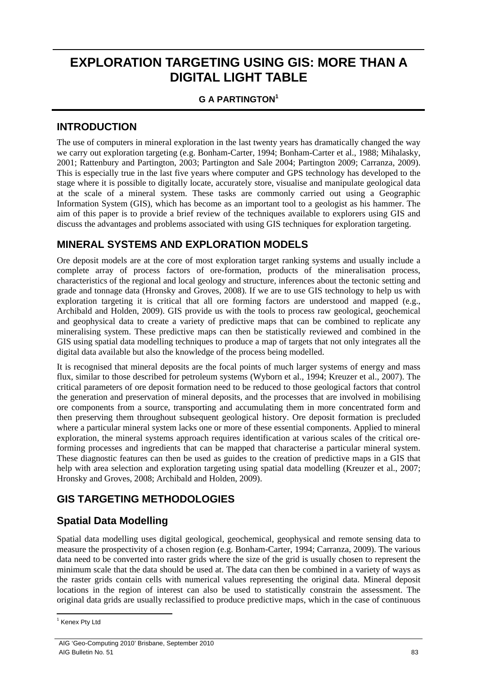# **EXPLORATION TARGETING USING GIS: MORE THAN A DIGITAL LIGHT TABLE**

#### **G A PARTINGTON<sup>1</sup>**

#### **INTRODUCTION**

The use of computers in mineral exploration in the last twenty years has dramatically changed the way we carry out exploration targeting (e.g. Bonham-Carter, 1994; Bonham-Carter et al., 1988; Mihalasky, 2001; Rattenbury and Partington, 2003; Partington and Sale 2004; Partington 2009; Carranza, 2009). This is especially true in the last five years where computer and GPS technology has developed to the stage where it is possible to digitally locate, accurately store, visualise and manipulate geological data at the scale of a mineral system. These tasks are commonly carried out using a Geographic Information System (GIS), which has become as an important tool to a geologist as his hammer. The aim of this paper is to provide a brief review of the techniques available to explorers using GIS and discuss the advantages and problems associated with using GIS techniques for exploration targeting.

#### **MINERAL SYSTEMS AND EXPLORATION MODELS**

Ore deposit models are at the core of most exploration target ranking systems and usually include a complete array of process factors of ore-formation, products of the mineralisation process, characteristics of the regional and local geology and structure, inferences about the tectonic setting and grade and tonnage data (Hronsky and Groves, 2008). If we are to use GIS technology to help us with exploration targeting it is critical that all ore forming factors are understood and mapped (e.g., Archibald and Holden, 2009). GIS provide us with the tools to process raw geological, geochemical and geophysical data to create a variety of predictive maps that can be combined to replicate any mineralising system. These predictive maps can then be statistically reviewed and combined in the GIS using spatial data modelling techniques to produce a map of targets that not only integrates all the digital data available but also the knowledge of the process being modelled.

It is recognised that mineral deposits are the focal points of much larger systems of energy and mass flux, similar to those described for petroleum systems (Wyborn et al., 1994; Kreuzer et al., 2007). The critical parameters of ore deposit formation need to be reduced to those geological factors that control the generation and preservation of mineral deposits, and the processes that are involved in mobilising ore components from a source, transporting and accumulating them in more concentrated form and then preserving them throughout subsequent geological history. Ore deposit formation is precluded where a particular mineral system lacks one or more of these essential components. Applied to mineral exploration, the mineral systems approach requires identification at various scales of the critical oreforming processes and ingredients that can be mapped that characterise a particular mineral system. These diagnostic features can then be used as guides to the creation of predictive maps in a GIS that help with area selection and exploration targeting using spatial data modelling (Kreuzer et al., 2007; Hronsky and Groves, 2008; Archibald and Holden, 2009).

## **GIS TARGETING METHODOLOGIES**

## **Spatial Data Modelling**

Spatial data modelling uses digital geological, geochemical, geophysical and remote sensing data to measure the prospectivity of a chosen region (e.g. Bonham-Carter, 1994; Carranza, 2009). The various data need to be converted into raster grids where the size of the grid is usually chosen to represent the minimum scale that the data should be used at. The data can then be combined in a variety of ways as the raster grids contain cells with numerical values representing the original data. Mineral deposit locations in the region of interest can also be used to statistically constrain the assessment. The original data grids are usually reclassified to produce predictive maps, which in the case of continuous

 $\overline{a}$ <sup>1</sup> Kenex Pty Ltd

AIG 'Geo-Computing 2010' Brisbane, September 2010 AIG Bulletin No. 51 83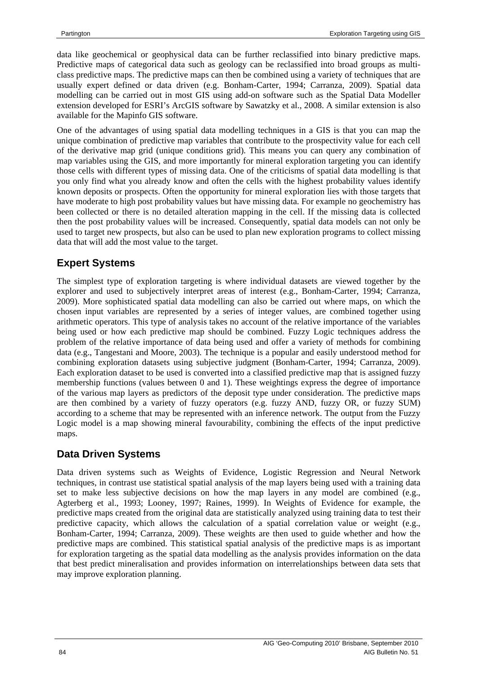data like geochemical or geophysical data can be further reclassified into binary predictive maps. Predictive maps of categorical data such as geology can be reclassified into broad groups as multiclass predictive maps. The predictive maps can then be combined using a variety of techniques that are usually expert defined or data driven (e.g. Bonham-Carter, 1994; Carranza, 2009). Spatial data modelling can be carried out in most GIS using add-on software such as the Spatial Data Modeller extension developed for ESRI's ArcGIS software by Sawatzky et al., 2008. A similar extension is also available for the Mapinfo GIS software.

One of the advantages of using spatial data modelling techniques in a GIS is that you can map the unique combination of predictive map variables that contribute to the prospectivity value for each cell of the derivative map grid (unique conditions grid). This means you can query any combination of map variables using the GIS, and more importantly for mineral exploration targeting you can identify those cells with different types of missing data. One of the criticisms of spatial data modelling is that you only find what you already know and often the cells with the highest probability values identify known deposits or prospects. Often the opportunity for mineral exploration lies with those targets that have moderate to high post probability values but have missing data. For example no geochemistry has been collected or there is no detailed alteration mapping in the cell. If the missing data is collected then the post probability values will be increased. Consequently, spatial data models can not only be used to target new prospects, but also can be used to plan new exploration programs to collect missing data that will add the most value to the target.

## **Expert Systems**

The simplest type of exploration targeting is where individual datasets are viewed together by the explorer and used to subjectively interpret areas of interest (e.g., Bonham-Carter, 1994; Carranza, 2009). More sophisticated spatial data modelling can also be carried out where maps, on which the chosen input variables are represented by a series of integer values, are combined together using arithmetic operators. This type of analysis takes no account of the relative importance of the variables being used or how each predictive map should be combined. Fuzzy Logic techniques address the problem of the relative importance of data being used and offer a variety of methods for combining data (e.g., Tangestani and Moore, 2003). The technique is a popular and easily understood method for combining exploration datasets using subjective judgment (Bonham-Carter, 1994; Carranza, 2009). Each exploration dataset to be used is converted into a classified predictive map that is assigned fuzzy membership functions (values between 0 and 1). These weightings express the degree of importance of the various map layers as predictors of the deposit type under consideration. The predictive maps are then combined by a variety of fuzzy operators (e.g. fuzzy AND, fuzzy OR, or fuzzy SUM) according to a scheme that may be represented with an inference network. The output from the Fuzzy Logic model is a map showing mineral favourability, combining the effects of the input predictive maps.

## **Data Driven Systems**

Data driven systems such as Weights of Evidence, Logistic Regression and Neural Network techniques, in contrast use statistical spatial analysis of the map layers being used with a training data set to make less subjective decisions on how the map layers in any model are combined (e.g., Agterberg et al., 1993; Looney, 1997; Raines, 1999). In Weights of Evidence for example, the predictive maps created from the original data are statistically analyzed using training data to test their predictive capacity, which allows the calculation of a spatial correlation value or weight (e.g., Bonham-Carter, 1994; Carranza, 2009). These weights are then used to guide whether and how the predictive maps are combined. This statistical spatial analysis of the predictive maps is as important for exploration targeting as the spatial data modelling as the analysis provides information on the data that best predict mineralisation and provides information on interrelationships between data sets that may improve exploration planning.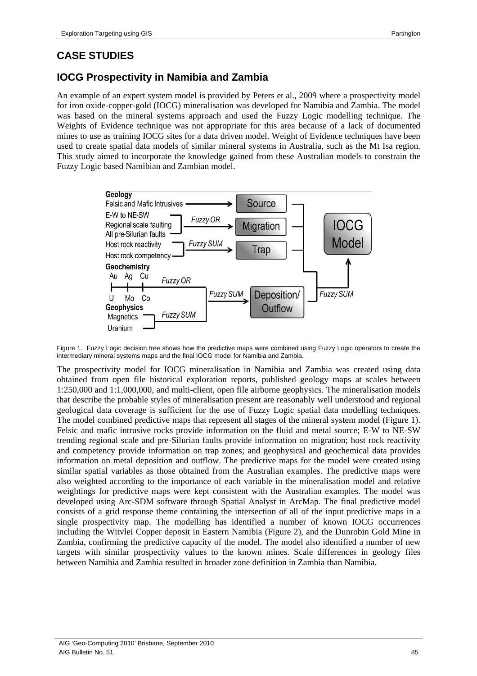#### **CASE STUDIES**

## **IOCG Prospectivity in Namibia and Zambia**

An example of an expert system model is provided by Peters et al., 2009 where a prospectivity model for iron oxide-copper-gold (IOCG) mineralisation was developed for Namibia and Zambia. The model was based on the mineral systems approach and used the Fuzzy Logic modelling technique. The Weights of Evidence technique was not appropriate for this area because of a lack of documented mines to use as training IOCG sites for a data driven model. Weight of Evidence techniques have been used to create spatial data models of similar mineral systems in Australia, such as the Mt Isa region. This study aimed to incorporate the knowledge gained from these Australian models to constrain the Fuzzy Logic based Namibian and Zambian model.



Figure 1. Fuzzy Logic decision tree shows how the predictive maps were combined using Fuzzy Logic operators to create the intermediary mineral systems maps and the final IOCG model for Namibia and Zambia.

The prospectivity model for IOCG mineralisation in Namibia and Zambia was created using data obtained from open file historical exploration reports, published geology maps at scales between 1:250,000 and 1:1,000,000, and multi-client, open file airborne geophysics. The mineralisation models that describe the probable styles of mineralisation present are reasonably well understood and regional geological data coverage is sufficient for the use of Fuzzy Logic spatial data modelling techniques. The model combined predictive maps that represent all stages of the mineral system model (Figure 1). Felsic and mafic intrusive rocks provide information on the fluid and metal source; E-W to NE-SW trending regional scale and pre-Silurian faults provide information on migration; host rock reactivity and competency provide information on trap zones; and geophysical and geochemical data provides information on metal deposition and outflow. The predictive maps for the model were created using similar spatial variables as those obtained from the Australian examples. The predictive maps were also weighted according to the importance of each variable in the mineralisation model and relative weightings for predictive maps were kept consistent with the Australian examples. The model was developed using Arc-SDM software through Spatial Analyst in ArcMap. The final predictive model consists of a grid response theme containing the intersection of all of the input predictive maps in a single prospectivity map. The modelling has identified a number of known IOCG occurrences including the Witvlei Copper deposit in Eastern Namibia (Figure 2), and the Dunrobin Gold Mine in Zambia, confirming the predictive capacity of the model. The model also identified a number of new targets with similar prospectivity values to the known mines. Scale differences in geology files between Namibia and Zambia resulted in broader zone definition in Zambia than Namibia.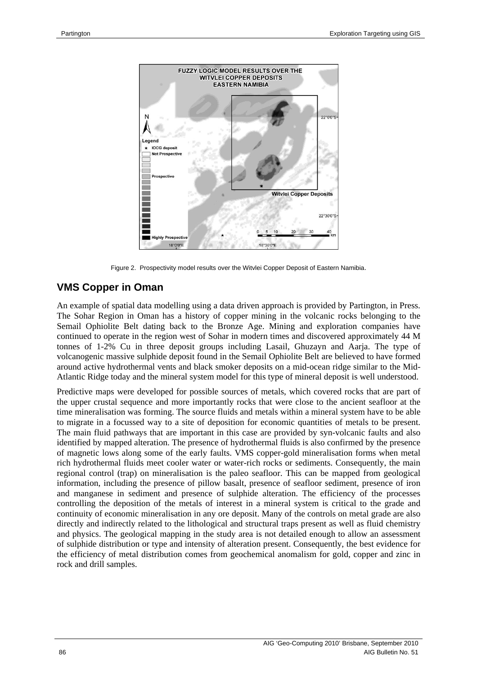

Figure 2. Prospectivity model results over the Witvlei Copper Deposit of Eastern Namibia.

#### **VMS Copper in Oman**

An example of spatial data modelling using a data driven approach is provided by Partington, in Press. The Sohar Region in Oman has a history of copper mining in the volcanic rocks belonging to the Semail Ophiolite Belt dating back to the Bronze Age. Mining and exploration companies have continued to operate in the region west of Sohar in modern times and discovered approximately 44 M tonnes of 1-2% Cu in three deposit groups including Lasail, Ghuzayn and Aarja. The type of volcanogenic massive sulphide deposit found in the Semail Ophiolite Belt are believed to have formed around active hydrothermal vents and black smoker deposits on a mid-ocean ridge similar to the Mid-Atlantic Ridge today and the mineral system model for this type of mineral deposit is well understood.

Predictive maps were developed for possible sources of metals, which covered rocks that are part of the upper crustal sequence and more importantly rocks that were close to the ancient seafloor at the time mineralisation was forming. The source fluids and metals within a mineral system have to be able to migrate in a focussed way to a site of deposition for economic quantities of metals to be present. The main fluid pathways that are important in this case are provided by syn-volcanic faults and also identified by mapped alteration. The presence of hydrothermal fluids is also confirmed by the presence of magnetic lows along some of the early faults. VMS copper-gold mineralisation forms when metal rich hydrothermal fluids meet cooler water or water-rich rocks or sediments. Consequently, the main regional control (trap) on mineralisation is the paleo seafloor. This can be mapped from geological information, including the presence of pillow basalt, presence of seafloor sediment, presence of iron and manganese in sediment and presence of sulphide alteration. The efficiency of the processes controlling the deposition of the metals of interest in a mineral system is critical to the grade and continuity of economic mineralisation in any ore deposit. Many of the controls on metal grade are also directly and indirectly related to the lithological and structural traps present as well as fluid chemistry and physics. The geological mapping in the study area is not detailed enough to allow an assessment of sulphide distribution or type and intensity of alteration present. Consequently, the best evidence for the efficiency of metal distribution comes from geochemical anomalism for gold, copper and zinc in rock and drill samples.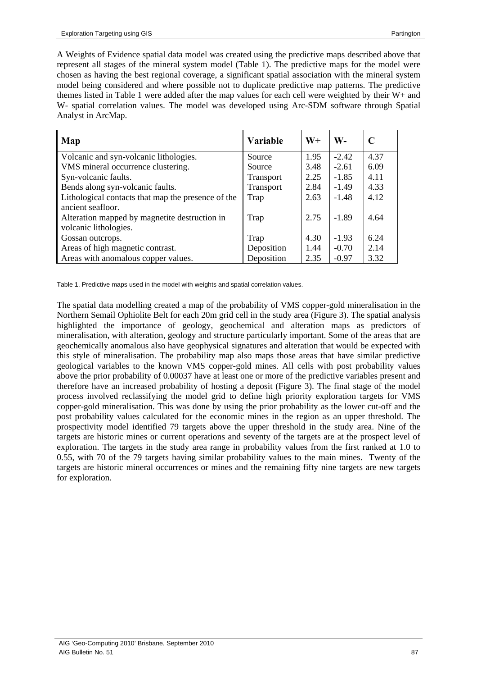A Weights of Evidence spatial data model was created using the predictive maps described above that represent all stages of the mineral system model (Table 1). The predictive maps for the model were chosen as having the best regional coverage, a significant spatial association with the mineral system model being considered and where possible not to duplicate predictive map patterns. The predictive themes listed in Table 1 were added after the map values for each cell were weighted by their W+ and W- spatial correlation values. The model was developed using Arc-SDM software through Spatial Analyst in ArcMap.

| Map                                                | <b>Variable</b>  | W+   | W-      | C    |
|----------------------------------------------------|------------------|------|---------|------|
| Volcanic and syn-volcanic lithologies.             | Source           | 1.95 | $-2.42$ | 4.37 |
| VMS mineral occurrence clustering.                 | Source           | 3.48 | $-2.61$ | 6.09 |
| Syn-volcanic faults.                               | <b>Transport</b> | 2.25 | $-1.85$ | 4.11 |
| Bends along syn-volcanic faults.                   | Transport        | 2.84 | $-1.49$ | 4.33 |
| Lithological contacts that map the presence of the | Trap             | 2.63 | $-1.48$ | 4.12 |
| ancient seafloor.                                  |                  |      |         |      |
| Alteration mapped by magnetite destruction in      | Trap             | 2.75 | $-1.89$ | 4.64 |
| volcanic lithologies.                              |                  |      |         |      |
| Gossan outcrops.                                   | Trap             | 4.30 | $-1.93$ | 6.24 |
| Areas of high magnetic contrast.                   | Deposition       | 1.44 | $-0.70$ | 2.14 |
| Areas with anomalous copper values.                | Deposition       | 2.35 | $-0.97$ | 3.32 |

Table 1. Predictive maps used in the model with weights and spatial correlation values.

The spatial data modelling created a map of the probability of VMS copper-gold mineralisation in the Northern Semail Ophiolite Belt for each 20m grid cell in the study area (Figure 3). The spatial analysis highlighted the importance of geology, geochemical and alteration maps as predictors of mineralisation, with alteration, geology and structure particularly important. Some of the areas that are geochemically anomalous also have geophysical signatures and alteration that would be expected with this style of mineralisation. The probability map also maps those areas that have similar predictive geological variables to the known VMS copper-gold mines. All cells with post probability values above the prior probability of 0.00037 have at least one or more of the predictive variables present and therefore have an increased probability of hosting a deposit (Figure 3). The final stage of the model process involved reclassifying the model grid to define high priority exploration targets for VMS copper-gold mineralisation. This was done by using the prior probability as the lower cut-off and the post probability values calculated for the economic mines in the region as an upper threshold. The prospectivity model identified 79 targets above the upper threshold in the study area. Nine of the targets are historic mines or current operations and seventy of the targets are at the prospect level of exploration. The targets in the study area range in probability values from the first ranked at 1.0 to 0.55, with 70 of the 79 targets having similar probability values to the main mines. Twenty of the targets are historic mineral occurrences or mines and the remaining fifty nine targets are new targets for exploration.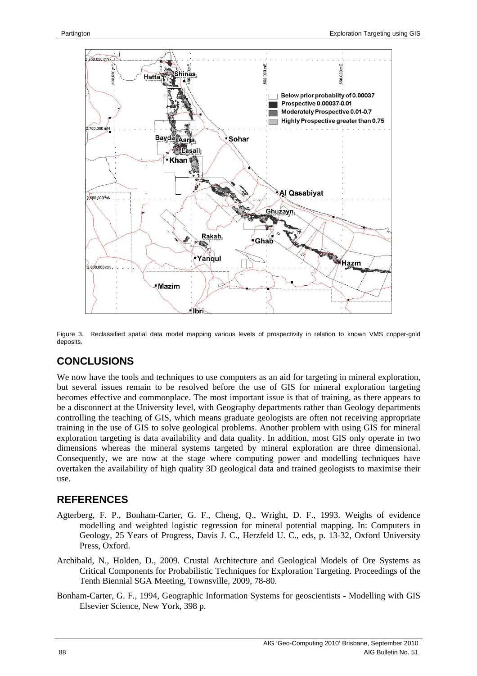

Figure 3. Reclassified spatial data model mapping various levels of prospectivity in relation to known VMS copper-gold deposits.

# **CONCLUSIONS**

We now have the tools and techniques to use computers as an aid for targeting in mineral exploration, but several issues remain to be resolved before the use of GIS for mineral exploration targeting becomes effective and commonplace. The most important issue is that of training, as there appears to be a disconnect at the University level, with Geography departments rather than Geology departments controlling the teaching of GIS, which means graduate geologists are often not receiving appropriate training in the use of GIS to solve geological problems. Another problem with using GIS for mineral exploration targeting is data availability and data quality. In addition, most GIS only operate in two dimensions whereas the mineral systems targeted by mineral exploration are three dimensional. Consequently, we are now at the stage where computing power and modelling techniques have overtaken the availability of high quality 3D geological data and trained geologists to maximise their use.

## **REFERENCES**

- Agterberg, F. P., Bonham-Carter, G. F., Cheng, Q., Wright, D. F., 1993. Weighs of evidence modelling and weighted logistic regression for mineral potential mapping. In: Computers in Geology, 25 Years of Progress, Davis J. C., Herzfeld U. C., eds, p. 13-32, Oxford University Press, Oxford.
- Archibald, N., Holden, D., 2009. Crustal Architecture and Geological Models of Ore Systems as Critical Components for Probabilistic Techniques for Exploration Targeting. Proceedings of the Tenth Biennial SGA Meeting, Townsville, 2009, 78-80.
- Bonham-Carter, G. F., 1994, Geographic Information Systems for geoscientists Modelling with GIS Elsevier Science, New York, 398 p.